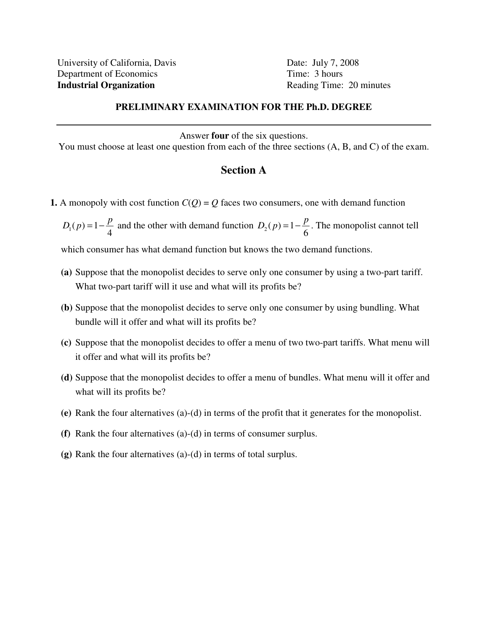## **PRELIMINARY EXAMINATION FOR THE Ph.D. DEGREE**

Answer **four** of the six questions.

You must choose at least one question from each of the three sections (A, B, and C) of the exam.

## **Section A**

- **1.** A monopoly with cost function  $C(Q) = Q$  faces two consumers, one with demand function
	- $p_1(p)=1$ 4  $D_1(p) = 1 - \frac{p}{4}$  and the other with demand function  $D_2(p) = 1$ 6  $D_2(p) = 1 - \frac{p}{q}$ . The monopolist cannot tell

which consumer has what demand function but knows the two demand functions.

- **(a)** Suppose that the monopolist decides to serve only one consumer by using a two-part tariff. What two-part tariff will it use and what will its profits be?
- **(b)** Suppose that the monopolist decides to serve only one consumer by using bundling. What bundle will it offer and what will its profits be?
- **(c)** Suppose that the monopolist decides to offer a menu of two two-part tariffs. What menu will it offer and what will its profits be?
- **(d)** Suppose that the monopolist decides to offer a menu of bundles. What menu will it offer and what will its profits be?
- **(e)** Rank the four alternatives (a)-(d) in terms of the profit that it generates for the monopolist.
- **(f)** Rank the four alternatives (a)-(d) in terms of consumer surplus.
- **(g)** Rank the four alternatives (a)-(d) in terms of total surplus.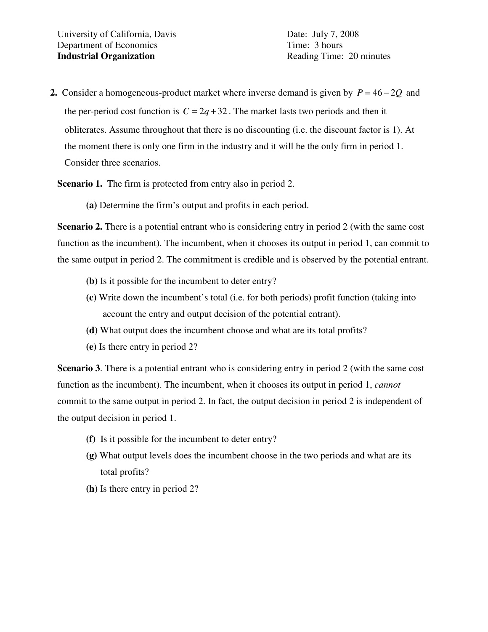**2.** Consider a homogeneous-product market where inverse demand is given by *P* = 46 − 2*Q* and the per-period cost function is  $C = 2q + 32$ . The market lasts two periods and then it obliterates. Assume throughout that there is no discounting (i.e. the discount factor is 1). At the moment there is only one firm in the industry and it will be the only firm in period 1. Consider three scenarios.

**Scenario 1.** The firm is protected from entry also in period 2.

**(a)** Determine the firm's output and profits in each period.

**Scenario 2.** There is a potential entrant who is considering entry in period 2 (with the same cost function as the incumbent). The incumbent, when it chooses its output in period 1, can commit to the same output in period 2. The commitment is credible and is observed by the potential entrant.

- **(b)** Is it possible for the incumbent to deter entry?
- **(c)** Write down the incumbent's total (i.e. for both periods) profit function (taking into account the entry and output decision of the potential entrant).
- **(d)** What output does the incumbent choose and what are its total profits?
- **(e)** Is there entry in period 2?

**Scenario 3**. There is a potential entrant who is considering entry in period 2 (with the same cost function as the incumbent). The incumbent, when it chooses its output in period 1, *cannot* commit to the same output in period 2. In fact, the output decision in period 2 is independent of the output decision in period 1.

- **(f)** Is it possible for the incumbent to deter entry?
- **(g)** What output levels does the incumbent choose in the two periods and what are its total profits?
- **(h)** Is there entry in period 2?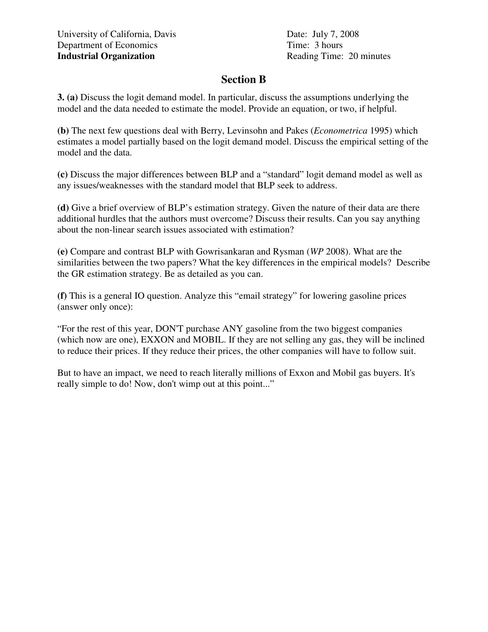## **Section B**

**3. (a)** Discuss the logit demand model. In particular, discuss the assumptions underlying the model and the data needed to estimate the model. Provide an equation, or two, if helpful.

**(b)** The next few questions deal with Berry, Levinsohn and Pakes (*Econometrica* 1995) which estimates a model partially based on the logit demand model. Discuss the empirical setting of the model and the data.

**(c)** Discuss the major differences between BLP and a "standard" logit demand model as well as any issues/weaknesses with the standard model that BLP seek to address.

**(d)** Give a brief overview of BLP's estimation strategy. Given the nature of their data are there additional hurdles that the authors must overcome? Discuss their results. Can you say anything about the non-linear search issues associated with estimation?

**(e)** Compare and contrast BLP with Gowrisankaran and Rysman (*WP* 2008). What are the similarities between the two papers? What the key differences in the empirical models? Describe the GR estimation strategy. Be as detailed as you can.

**(f)** This is a general IO question. Analyze this "email strategy" for lowering gasoline prices (answer only once):

"For the rest of this year, DON'T purchase ANY gasoline from the two biggest companies (which now are one), EXXON and MOBIL. If they are not selling any gas, they will be inclined to reduce their prices. If they reduce their prices, the other companies will have to follow suit.

But to have an impact, we need to reach literally millions of Exxon and Mobil gas buyers. It's really simple to do! Now, don't wimp out at this point..."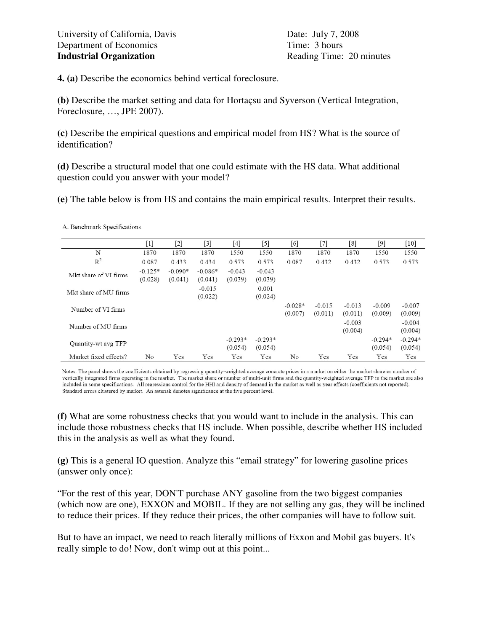A. Benchmark Specifications

**4. (a)** Describe the economics behind vertical foreclosure.

**(b)** Describe the market setting and data for Hortaçsu and Syverson (Vertical Integration, Foreclosure, …, JPE 2007).

**(c)** Describe the empirical questions and empirical model from HS? What is the source of identification?

**(d)** Describe a structural model that one could estimate with the HS data. What additional question could you answer with your model?

**(e)** The table below is from HS and contains the main empirical results. Interpret their results.

|                       | $^{[1]}$             | $^{[2]}$             | $^{[3]}$             | [4]                  | [5]                  | [6]                  | $^{[7]}$            | [8]                 |                      | $[10]$               |
|-----------------------|----------------------|----------------------|----------------------|----------------------|----------------------|----------------------|---------------------|---------------------|----------------------|----------------------|
| N                     | 1870                 | 1870                 | 1870                 | 1550                 | 1550                 | 1870                 | 1870                | 1870                | 1550                 | 1550                 |
| $R^2$                 | 0.087                | 0.433                | 0.434                | 0.573                | 0.573                | 0.087                | 0.432               | 0.432               | 0.573                | 0.573                |
| Mkt share of VI firms | $-0.125*$<br>(0.028) | $-0.090*$<br>(0.041) | $-0.086*$<br>(0.041) | $-0.043$<br>(0.039)  | $-0.043$<br>(0.039)  |                      |                     |                     |                      |                      |
| Mkt share of MU firms |                      |                      | $-0.015$<br>(0.022)  |                      | 0.001<br>(0.024)     |                      |                     |                     |                      |                      |
| Number of VI firms    |                      |                      |                      |                      |                      | $-0.028*$<br>(0.007) | $-0.015$<br>(0.011) | $-0.013$<br>(0.011) | $-0.009$<br>(0.009)  | $-0.007$<br>(0.009)  |
| Number of MU firms    |                      |                      |                      |                      |                      |                      |                     | $-0.003$<br>(0.004) |                      | $-0.004$<br>(0.004)  |
| Quantity wt avg TFP   |                      |                      |                      | $-0.293*$<br>(0.054) | $-0.293*$<br>(0.054) |                      |                     |                     | $-0.294*$<br>(0.054) | $-0.294*$<br>(0.054) |
| Market fixed effects? | No                   | Yes                  | Yes                  | Yes                  | Yes                  | No                   | Yes                 | Yes                 | Yes                  | Yes                  |

Notes: The panel shows the coefficients obtained by regressing quantity-weighted average concrete prices in a market on either the market share or number of vertically integrated firms operating in the market. The market share or number of multi-unit firms and the quantity-weighted average TFP in the market are also included in some specifications. All regressions control for the HHI and density of demand in the market as well as year effects (coefficients not reported). Standard errors clustered by market. An asterisk denotes significance at the five percent level.

**(f)** What are some robustness checks that you would want to include in the analysis. This can include those robustness checks that HS include. When possible, describe whether HS included this in the analysis as well as what they found.

**(g)** This is a general IO question. Analyze this "email strategy" for lowering gasoline prices (answer only once):

"For the rest of this year, DON'T purchase ANY gasoline from the two biggest companies (which now are one), EXXON and MOBIL. If they are not selling any gas, they will be inclined to reduce their prices. If they reduce their prices, the other companies will have to follow suit.

But to have an impact, we need to reach literally millions of Exxon and Mobil gas buyers. It's really simple to do! Now, don't wimp out at this point...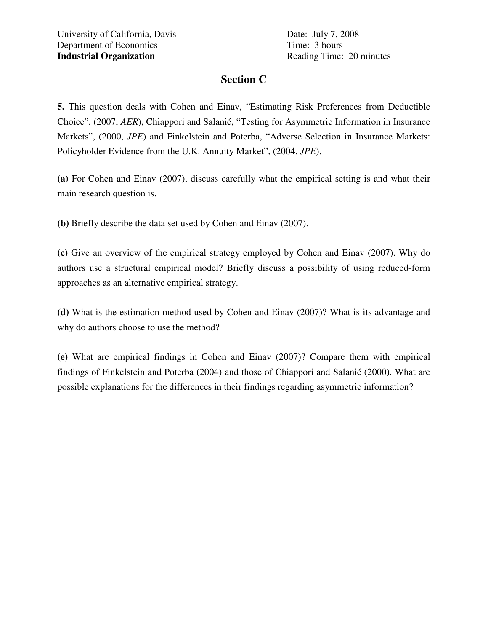## **Section C**

**5.** This question deals with Cohen and Einav, "Estimating Risk Preferences from Deductible Choice", (2007, *AER*), Chiappori and Salanié, "Testing for Asymmetric Information in Insurance Markets", (2000, *JPE*) and Finkelstein and Poterba, "Adverse Selection in Insurance Markets: Policyholder Evidence from the U.K. Annuity Market", (2004, *JPE*).

**(a)** For Cohen and Einav (2007), discuss carefully what the empirical setting is and what their main research question is.

**(b)** Briefly describe the data set used by Cohen and Einav (2007).

**(c)** Give an overview of the empirical strategy employed by Cohen and Einav (2007). Why do authors use a structural empirical model? Briefly discuss a possibility of using reduced-form approaches as an alternative empirical strategy.

**(d)** What is the estimation method used by Cohen and Einav (2007)? What is its advantage and why do authors choose to use the method?

**(e)** What are empirical findings in Cohen and Einav (2007)? Compare them with empirical findings of Finkelstein and Poterba (2004) and those of Chiappori and Salanié (2000). What are possible explanations for the differences in their findings regarding asymmetric information?